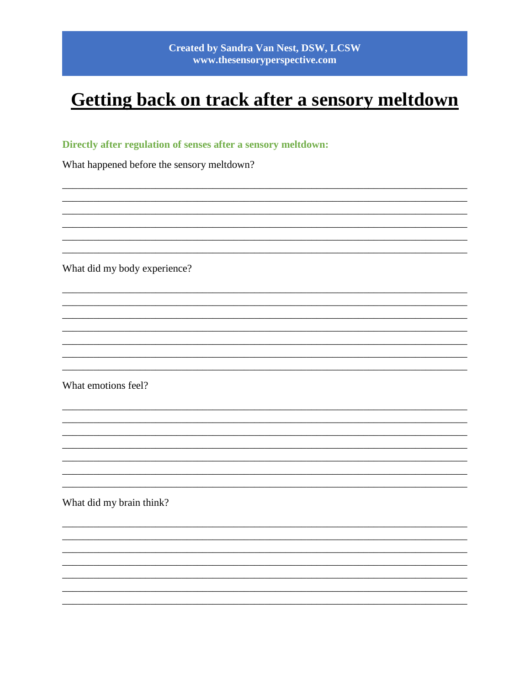# Getting back on track after a sensory meltdown

## Directly after regulation of senses after a sensory meltdown:

What happened before the sensory meltdown?

What did my body experience?

What emotions feel?

What did my brain think?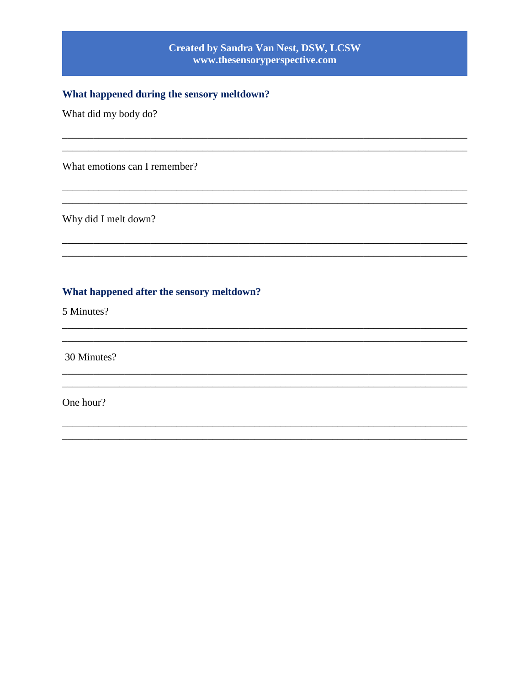## **Created by Sandra Van Nest, DSW, LCSW** www.thesensoryperspective.com

## What happened during the sensory meltdown?

What did my body do?

What emotions can I remember?

Why did I melt down?

#### What happened after the sensory meltdown?

5 Minutes?

30 Minutes?

One hour?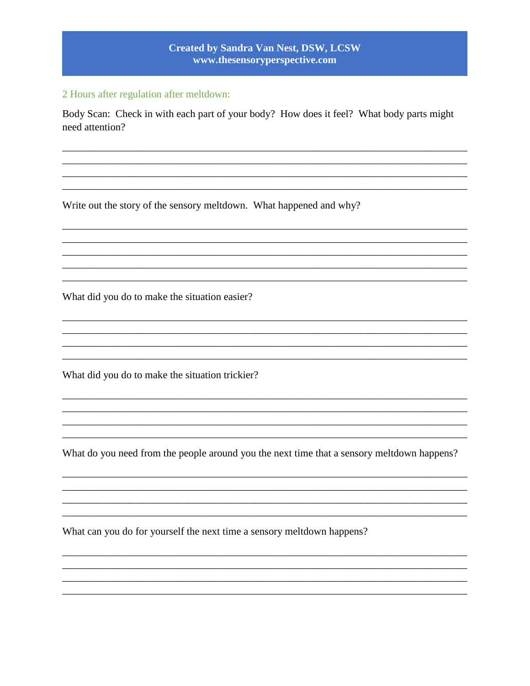## **Created by Sandra Van Nest, DSW, LCSW** www.thesensoryperspective.com

#### 2 Hours after regulation after meltdown:

Body Scan: Check in with each part of your body? How does it feel? What body parts might need attention?

Write out the story of the sensory meltdown. What happened and why?

What did you do to make the situation easier?

What did you do to make the situation trickier?

What do you need from the people around you the next time that a sensory meltdown happens?

and the control of the control of the control of the control of the control of the control of the control of the

What can you do for yourself the next time a sensory meltdown happens?